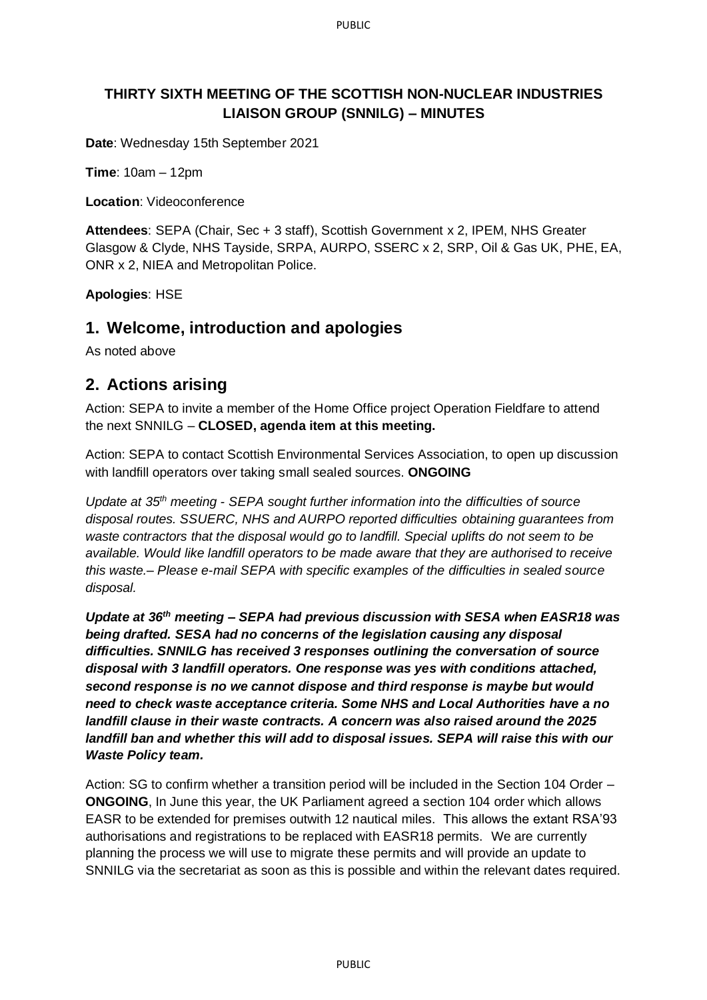## **THIRTY SIXTH MEETING OF THE SCOTTISH NON-NUCLEAR INDUSTRIES LIAISON GROUP (SNNILG) – MINUTES**

**Date**: Wednesday 15th September 2021

**Time**: 10am – 12pm

**Location**: Videoconference

**Attendees**: SEPA (Chair, Sec + 3 staff), Scottish Government x 2, IPEM, NHS Greater Glasgow & Clyde, NHS Tayside, SRPA, AURPO, SSERC x 2, SRP, Oil & Gas UK, PHE, EA, ONR x 2, NIEA and Metropolitan Police.

**Apologies**: HSE

## **1. Welcome, introduction and apologies**

As noted above

## **2. Actions arising**

Action: SEPA to invite a member of the Home Office project Operation Fieldfare to attend the next SNNILG – **CLOSED, agenda item at this meeting.**

Action: SEPA to contact Scottish Environmental Services Association, to open up discussion with landfill operators over taking small sealed sources. **ONGOING**

*Update at 35th meeting - SEPA sought further information into the difficulties of source disposal routes. SSUERC, NHS and AURPO reported difficulties obtaining guarantees from waste contractors that the disposal would go to landfill. Special uplifts do not seem to be available. Would like landfill operators to be made aware that they are authorised to receive this waste.– Please e-mail SEPA with specific examples of the difficulties in sealed source disposal.*

*Update at 36th meeting – SEPA had previous discussion with SESA when EASR18 was being drafted. SESA had no concerns of the legislation causing any disposal difficulties. SNNILG has received 3 responses outlining the conversation of source disposal with 3 landfill operators. One response was yes with conditions attached, second response is no we cannot dispose and third response is maybe but would need to check waste acceptance criteria. Some NHS and Local Authorities have a no landfill clause in their waste contracts. A concern was also raised around the 2025 landfill ban and whether this will add to disposal issues. SEPA will raise this with our Waste Policy team.*

Action: SG to confirm whether a transition period will be included in the Section 104 Order – **ONGOING**, In June this year, the UK Parliament agreed a section 104 order which allows EASR to be extended for premises outwith 12 nautical miles. This allows the extant RSA'93 authorisations and registrations to be replaced with EASR18 permits. We are currently planning the process we will use to migrate these permits and will provide an update to SNNILG via the secretariat as soon as this is possible and within the relevant dates required.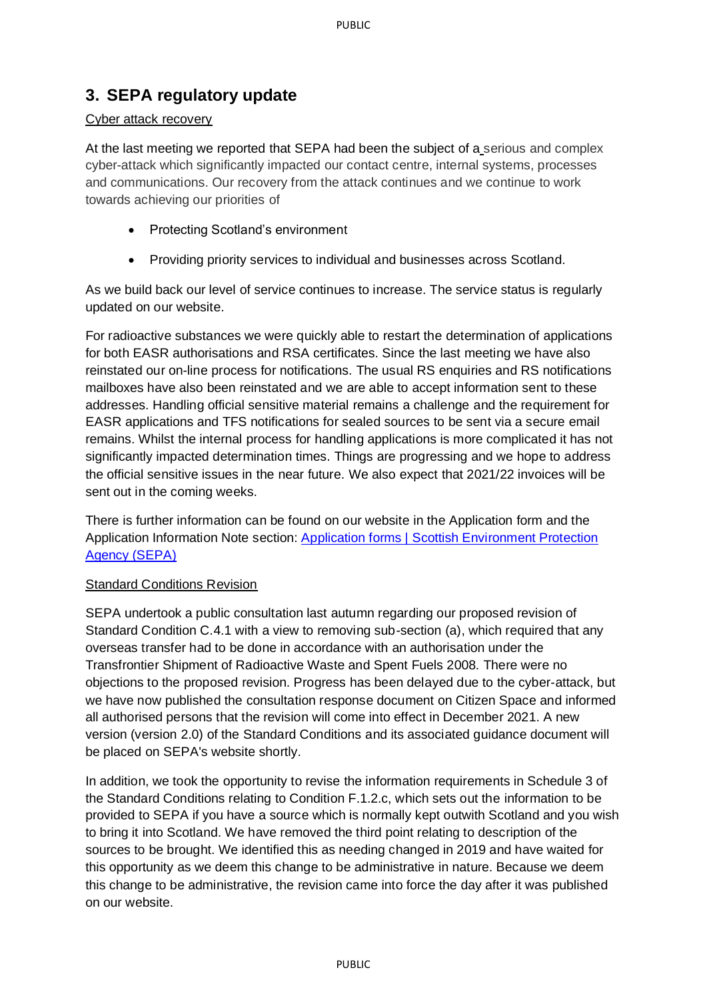# **3. SEPA regulatory update**

### Cyber attack recovery

At the last meeting we reported that SEPA had been the subject of a serious and complex cyber-attack which significantly impacted our contact centre, internal systems, processes and communications. Our recovery from the attack continues and we continue to work towards achieving our priorities of

- Protecting Scotland's environment
- Providing priority services to individual and businesses across Scotland.

As we build back our level of service continues to increase. The service status is regularly updated on our website.

For radioactive substances we were quickly able to restart the determination of applications for both EASR authorisations and RSA certificates. Since the last meeting we have also reinstated our on-line process for notifications. The usual RS enquiries and RS notifications mailboxes have also been reinstated and we are able to accept information sent to these addresses. Handling official sensitive material remains a challenge and the requirement for EASR applications and TFS notifications for sealed sources to be sent via a secure email remains. Whilst the internal process for handling applications is more complicated it has not significantly impacted determination times. Things are progressing and we hope to address the official sensitive issues in the near future. We also expect that 2021/22 invoices will be sent out in the coming weeks.

There is further information can be found on our website in the Application form and the Application Information Note section: [Application forms | Scottish Environment Protection](https://www.sepa.org.uk/regulations/authorisations-and-permits/application-forms/#RSA)  [Agency \(SEPA\)](https://www.sepa.org.uk/regulations/authorisations-and-permits/application-forms/#RSA)

### Standard Conditions Revision

SEPA undertook a public consultation last autumn regarding our proposed revision of Standard Condition C.4.1 with a view to removing sub-section (a), which required that any overseas transfer had to be done in accordance with an authorisation under the Transfrontier Shipment of Radioactive Waste and Spent Fuels 2008. There were no objections to the proposed revision. Progress has been delayed due to the cyber-attack, but we have now published the consultation response document on Citizen Space and informed all authorised persons that the revision will come into effect in December 2021. A new version (version 2.0) of the Standard Conditions and its associated guidance document will be placed on SEPA's website shortly.

In addition, we took the opportunity to revise the information requirements in Schedule 3 of the Standard Conditions relating to Condition F.1.2.c, which sets out the information to be provided to SEPA if you have a source which is normally kept outwith Scotland and you wish to bring it into Scotland. We have removed the third point relating to description of the sources to be brought. We identified this as needing changed in 2019 and have waited for this opportunity as we deem this change to be administrative in nature. Because we deem this change to be administrative, the revision came into force the day after it was published on our website.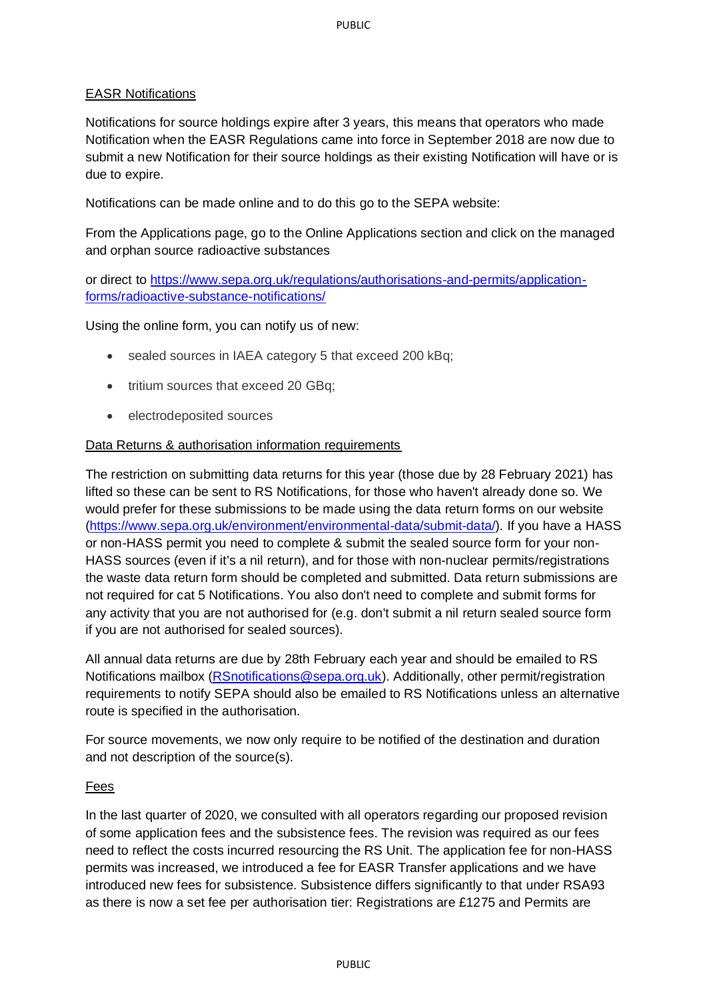### EASR Notifications

Notifications for source holdings expire after 3 years, this means that operators who made Notification when the EASR Regulations came into force in September 2018 are now due to submit a new Notification for their source holdings as their existing Notification will have or is due to expire.

Notifications can be made online and to do this go to the SEPA website:

From the Applications page, go to the Online Applications section and click on the managed and orphan source radioactive substances

or direct to [https://www.sepa.org.uk/regulations/authorisations-and-permits/application](https://www.sepa.org.uk/regulations/authorisations-and-permits/application-forms/radioactive-substance-notifications/)[forms/radioactive-substance-notifications/](https://www.sepa.org.uk/regulations/authorisations-and-permits/application-forms/radioactive-substance-notifications/)

Using the online form, you can notify us of new:

- sealed sources in IAEA category 5 that exceed 200 kBq;
- tritium sources that exceed 20 GBq;
- electrodeposited sources

### Data Returns & authorisation information requirements

The restriction on submitting data returns for this year (those due by 28 February 2021) has lifted so these can be sent to RS Notifications, for those who haven't already done so. We would prefer for these submissions to be made using the data return forms on our website [\(https://www.sepa.org.uk/environment/environmental-data/submit-data/\)](https://www.sepa.org.uk/environment/environmental-data/submit-data/). If you have a HASS or non-HASS permit you need to complete & submit the sealed source form for your non-HASS sources (even if it's a nil return), and for those with non-nuclear permits/registrations the waste data return form should be completed and submitted. Data return submissions are not required for cat 5 Notifications. You also don't need to complete and submit forms for any activity that you are not authorised for (e.g. don't submit a nil return sealed source form if you are not authorised for sealed sources).

All annual data returns are due by 28th February each year and should be emailed to RS Notifications mailbox [\(RSnotifications@sepa.org.uk\)](mailto:RSnotifications@sepa.org.uk). Additionally, other permit/registration requirements to notify SEPA should also be emailed to RS Notifications unless an alternative route is specified in the authorisation.

For source movements, we now only require to be notified of the destination and duration and not description of the source(s).

### Fees

In the last quarter of 2020, we consulted with all operators regarding our proposed revision of some application fees and the subsistence fees. The revision was required as our fees need to reflect the costs incurred resourcing the RS Unit. The application fee for non-HASS permits was increased, we introduced a fee for EASR Transfer applications and we have introduced new fees for subsistence. Subsistence differs significantly to that under RSA93 as there is now a set fee per authorisation tier: Registrations are £1275 and Permits are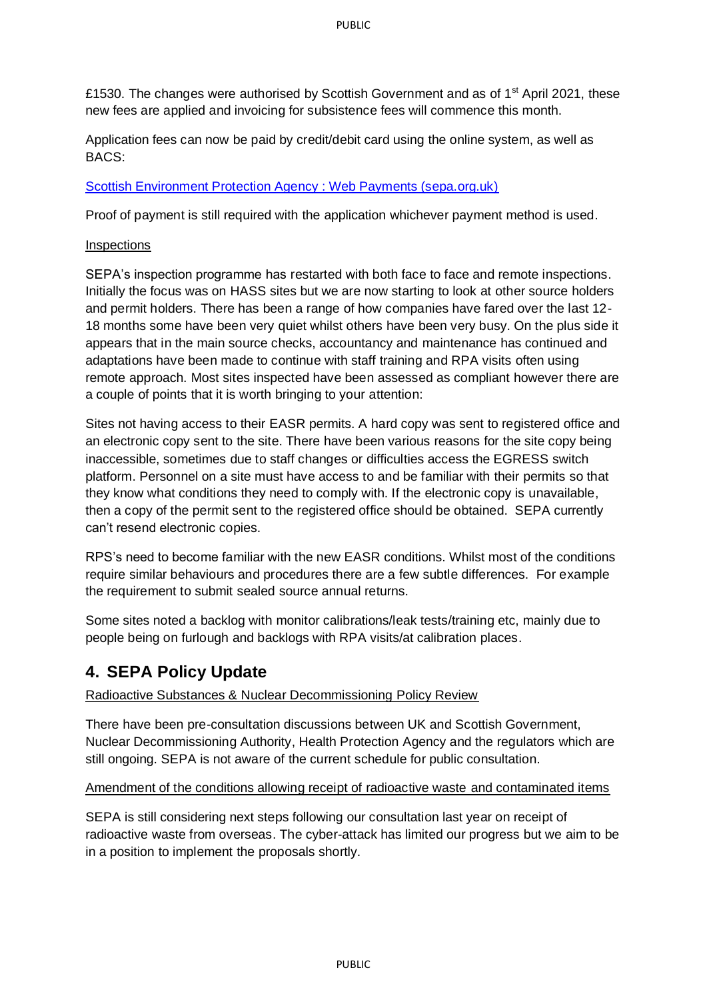£1530. The changes were authorised by Scottish Government and as of 1<sup>st</sup> April 2021, these new fees are applied and invoicing for subsistence fees will commence this month.

Application fees can now be paid by credit/debit card using the online system, as well as BACS:

### [Scottish Environment Protection Agency : Web Payments \(sepa.org.uk\)](https://webpayments.sepa.org.uk/)

Proof of payment is still required with the application whichever payment method is used.

### **Inspections**

SEPA's inspection programme has restarted with both face to face and remote inspections. Initially the focus was on HASS sites but we are now starting to look at other source holders and permit holders. There has been a range of how companies have fared over the last 12- 18 months some have been very quiet whilst others have been very busy. On the plus side it appears that in the main source checks, accountancy and maintenance has continued and adaptations have been made to continue with staff training and RPA visits often using remote approach. Most sites inspected have been assessed as compliant however there are a couple of points that it is worth bringing to your attention:

Sites not having access to their EASR permits. A hard copy was sent to registered office and an electronic copy sent to the site. There have been various reasons for the site copy being inaccessible, sometimes due to staff changes or difficulties access the EGRESS switch platform. Personnel on a site must have access to and be familiar with their permits so that they know what conditions they need to comply with. If the electronic copy is unavailable, then a copy of the permit sent to the registered office should be obtained. SEPA currently can't resend electronic copies.

RPS's need to become familiar with the new EASR conditions. Whilst most of the conditions require similar behaviours and procedures there are a few subtle differences. For example the requirement to submit sealed source annual returns.

Some sites noted a backlog with monitor calibrations/leak tests/training etc, mainly due to people being on furlough and backlogs with RPA visits/at calibration places.

# **4. SEPA Policy Update**

### Radioactive Substances & Nuclear Decommissioning Policy Review

There have been pre-consultation discussions between UK and Scottish Government, Nuclear Decommissioning Authority, Health Protection Agency and the regulators which are still ongoing. SEPA is not aware of the current schedule for public consultation.

### Amendment of the conditions allowing receipt of radioactive waste and contaminated items

SEPA is still considering next steps following our consultation last year on receipt of radioactive waste from overseas. The cyber-attack has limited our progress but we aim to be in a position to implement the proposals shortly.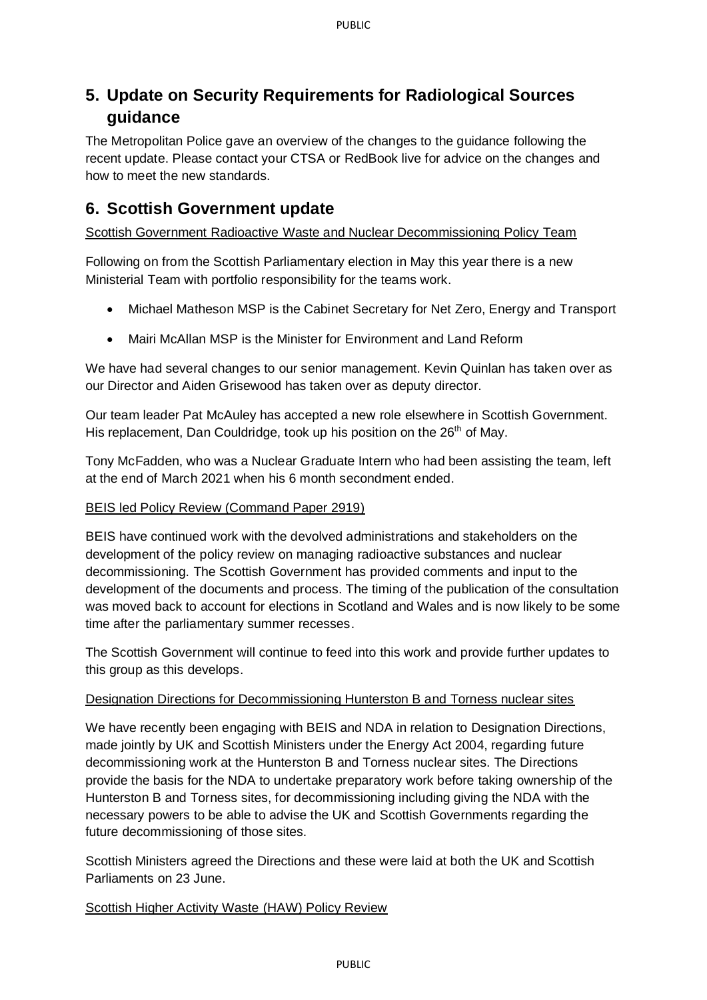# **5. Update on Security Requirements for Radiological Sources guidance**

The Metropolitan Police gave an overview of the changes to the guidance following the recent update. Please contact your CTSA or RedBook live for advice on the changes and how to meet the new standards.

# **6. Scottish Government update**

Scottish Government Radioactive Waste and Nuclear Decommissioning Policy Team

Following on from the Scottish Parliamentary election in May this year there is a new Ministerial Team with portfolio responsibility for the teams work.

- Michael Matheson MSP is the Cabinet Secretary for Net Zero, Energy and Transport
- Mairi McAllan MSP is the Minister for Environment and Land Reform

We have had several changes to our senior management. Kevin Quinlan has taken over as our Director and Aiden Grisewood has taken over as deputy director.

Our team leader Pat McAuley has accepted a new role elsewhere in Scottish Government. His replacement, Dan Couldridge, took up his position on the 26<sup>th</sup> of May.

Tony McFadden, who was a Nuclear Graduate Intern who had been assisting the team, left at the end of March 2021 when his 6 month secondment ended.

### BEIS led Policy Review (Command Paper 2919)

BEIS have continued work with the devolved administrations and stakeholders on the development of the policy review on managing radioactive substances and nuclear decommissioning. The Scottish Government has provided comments and input to the development of the documents and process. The timing of the publication of the consultation was moved back to account for elections in Scotland and Wales and is now likely to be some time after the parliamentary summer recesses.

The Scottish Government will continue to feed into this work and provide further updates to this group as this develops.

### Designation Directions for Decommissioning Hunterston B and Torness nuclear sites

We have recently been engaging with BEIS and NDA in relation to Designation Directions, made jointly by UK and Scottish Ministers under the Energy Act 2004, regarding future decommissioning work at the Hunterston B and Torness nuclear sites. The Directions provide the basis for the NDA to undertake preparatory work before taking ownership of the Hunterston B and Torness sites, for decommissioning including giving the NDA with the necessary powers to be able to advise the UK and Scottish Governments regarding the future decommissioning of those sites.

Scottish Ministers agreed the Directions and these were laid at both the UK and Scottish Parliaments on 23 June.

### Scottish Higher Activity Waste (HAW) Policy Review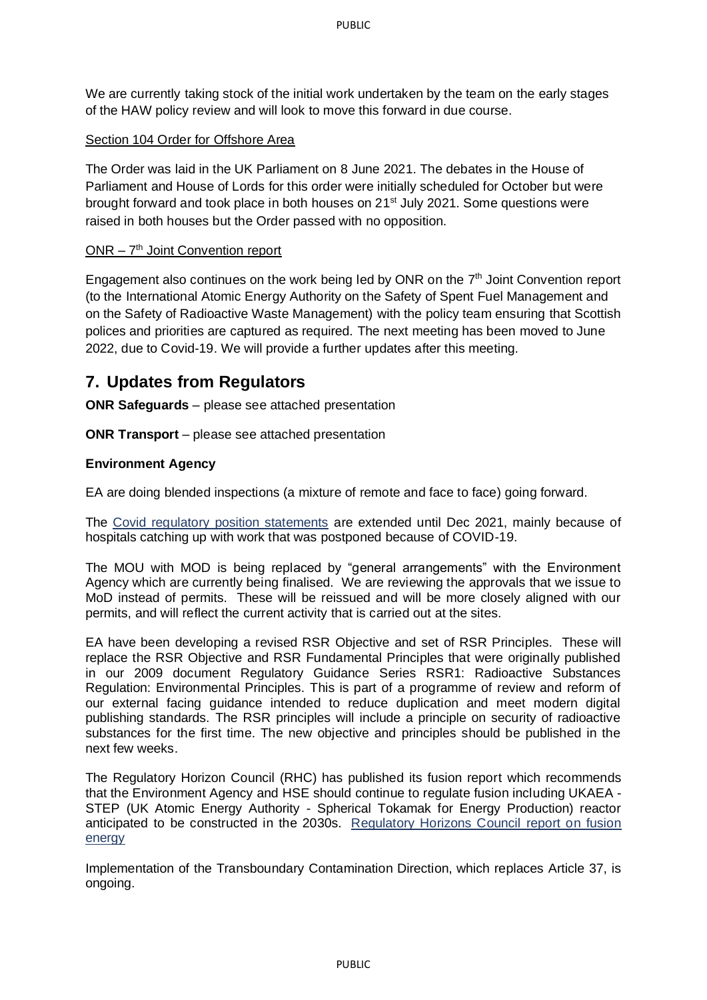We are currently taking stock of the initial work undertaken by the team on the early stages of the HAW policy review and will look to move this forward in due course.

### Section 104 Order for Offshore Area

The Order was laid in the UK Parliament on 8 June 2021. The debates in the House of Parliament and House of Lords for this order were initially scheduled for October but were brought forward and took place in both houses on 21<sup>st</sup> July 2021. Some questions were raised in both houses but the Order passed with no opposition.

### ONR - 7<sup>th</sup> Joint Convention report

Engagement also continues on the work being led by ONR on the  $7<sup>th</sup>$  Joint Convention report (to the International Atomic Energy Authority on the Safety of Spent Fuel Management and on the Safety of Radioactive Waste Management) with the policy team ensuring that Scottish polices and priorities are captured as required. The next meeting has been moved to June 2022, due to Covid-19. We will provide a further updates after this meeting.

# **7. Updates from Regulators**

**ONR Safeguards** – please see attached presentation

**ONR Transport** – please see attached presentation

### **Environment Agency**

EA are doing blended inspections (a mixture of remote and face to face) going forward.

The [Covid regulatory position statements](https://eur01.safelinks.protection.outlook.com/?url=https%3A%2F%2Fwww.gov.uk%2Fgovernment%2Fcollections%2Fcovid-19-regulatory-position-statements%23radioactive-substances-regulation&data=04%7C01%7CLindsey.Adams%40sepa.org.uk%7Ccce5f18be2f04583911408d97c17e2ad%7C5cf26d65cf464c72ba827577d9c2d7ab%7C0%7C0%7C637677264302653452%7CUnknown%7CTWFpbGZsb3d8eyJWIjoiMC4wLjAwMDAiLCJQIjoiV2luMzIiLCJBTiI6Ik1haWwiLCJXVCI6Mn0%3D%7C1000&sdata=%2ByQYg2H3v17aJ2gX1k0FqEMIs%2B0TcN7mmj3ZrvD1kMg%3D&reserved=0) are extended until Dec 2021, mainly because of hospitals catching up with work that was postponed because of COVID-19.

The MOU with MOD is being replaced by "general arrangements" with the Environment Agency which are currently being finalised. We are reviewing the approvals that we issue to MoD instead of permits. These will be reissued and will be more closely aligned with our permits, and will reflect the current activity that is carried out at the sites.

EA have been developing a revised RSR Objective and set of RSR Principles. These will replace the RSR Objective and RSR Fundamental Principles that were originally published in our 2009 document Regulatory Guidance Series RSR1: Radioactive Substances Regulation: Environmental Principles. This is part of a programme of review and reform of our external facing guidance intended to reduce duplication and meet modern digital publishing standards. The RSR principles will include a principle on security of radioactive substances for the first time. The new objective and principles should be published in the next few weeks.

The Regulatory Horizon Council (RHC) has published its fusion report which recommends that the Environment Agency and HSE should continue to regulate fusion including UKAEA - STEP (UK Atomic Energy Authority - Spherical Tokamak for Energy Production) reactor anticipated to be constructed in the 2030s. [Regulatory Horizons Council report on fusion](https://eur01.safelinks.protection.outlook.com/?url=https%3A%2F%2Fwww.gov.uk%2Fgovernment%2Fpublications%2Fregulatory-horizons-council-report-on-fusion-energy-regulation&data=04%7C01%7CLindsey.Adams%40sepa.org.uk%7Ccce5f18be2f04583911408d97c17e2ad%7C5cf26d65cf464c72ba827577d9c2d7ab%7C0%7C0%7C637677264302663405%7CUnknown%7CTWFpbGZsb3d8eyJWIjoiMC4wLjAwMDAiLCJQIjoiV2luMzIiLCJBTiI6Ik1haWwiLCJXVCI6Mn0%3D%7C1000&sdata=G9G0o%2Bu583%2FqiC%2Ff7feZoJnYsuB4Cw9dWb9JvQ8wEDk%3D&reserved=0)  [energy](https://eur01.safelinks.protection.outlook.com/?url=https%3A%2F%2Fwww.gov.uk%2Fgovernment%2Fpublications%2Fregulatory-horizons-council-report-on-fusion-energy-regulation&data=04%7C01%7CLindsey.Adams%40sepa.org.uk%7Ccce5f18be2f04583911408d97c17e2ad%7C5cf26d65cf464c72ba827577d9c2d7ab%7C0%7C0%7C637677264302663405%7CUnknown%7CTWFpbGZsb3d8eyJWIjoiMC4wLjAwMDAiLCJQIjoiV2luMzIiLCJBTiI6Ik1haWwiLCJXVCI6Mn0%3D%7C1000&sdata=G9G0o%2Bu583%2FqiC%2Ff7feZoJnYsuB4Cw9dWb9JvQ8wEDk%3D&reserved=0)

Implementation of the Transboundary Contamination Direction, which replaces Article 37, is ongoing.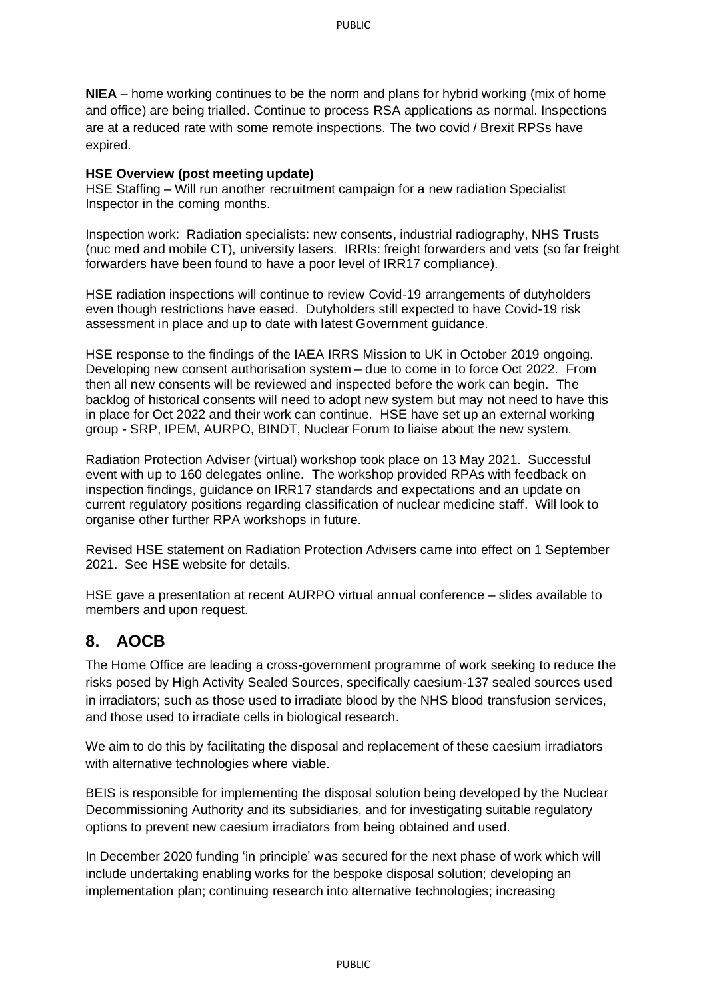**NIEA** – home working continues to be the norm and plans for hybrid working (mix of home and office) are being trialled. Continue to process RSA applications as normal. Inspections are at a reduced rate with some remote inspections. The two covid / Brexit RPSs have expired.

### **HSE Overview (post meeting update)**

HSE Staffing – Will run another recruitment campaign for a new radiation Specialist Inspector in the coming months.

Inspection work: Radiation specialists: new consents, industrial radiography, NHS Trusts (nuc med and mobile CT), university lasers. IRRIs: freight forwarders and vets (so far freight forwarders have been found to have a poor level of IRR17 compliance).

HSE radiation inspections will continue to review Covid-19 arrangements of dutyholders even though restrictions have eased. Dutyholders still expected to have Covid-19 risk assessment in place and up to date with latest Government guidance.

HSE response to the findings of the IAEA IRRS Mission to UK in October 2019 ongoing. Developing new consent authorisation system – due to come in to force Oct 2022. From then all new consents will be reviewed and inspected before the work can begin. The backlog of historical consents will need to adopt new system but may not need to have this in place for Oct 2022 and their work can continue. HSE have set up an external working group - SRP, IPEM, AURPO, BINDT, Nuclear Forum to liaise about the new system.

Radiation Protection Adviser (virtual) workshop took place on 13 May 2021. Successful event with up to 160 delegates online. The workshop provided RPAs with feedback on inspection findings, guidance on IRR17 standards and expectations and an update on current regulatory positions regarding classification of nuclear medicine staff. Will look to organise other further RPA workshops in future.

Revised HSE statement on Radiation Protection Advisers came into effect on 1 September 2021. See HSE website for details.

HSE gave a presentation at recent AURPO virtual annual conference – slides available to members and upon request.

### **8. AOCB**

The Home Office are leading a cross-government programme of work seeking to reduce the risks posed by High Activity Sealed Sources, specifically caesium-137 sealed sources used in irradiators; such as those used to irradiate blood by the NHS blood transfusion services, and those used to irradiate cells in biological research.

We aim to do this by facilitating the disposal and replacement of these caesium irradiators with alternative technologies where viable.

BEIS is responsible for implementing the disposal solution being developed by the Nuclear Decommissioning Authority and its subsidiaries, and for investigating suitable regulatory options to prevent new caesium irradiators from being obtained and used.

In December 2020 funding 'in principle' was secured for the next phase of work which will include undertaking enabling works for the bespoke disposal solution; developing an implementation plan; continuing research into alternative technologies; increasing